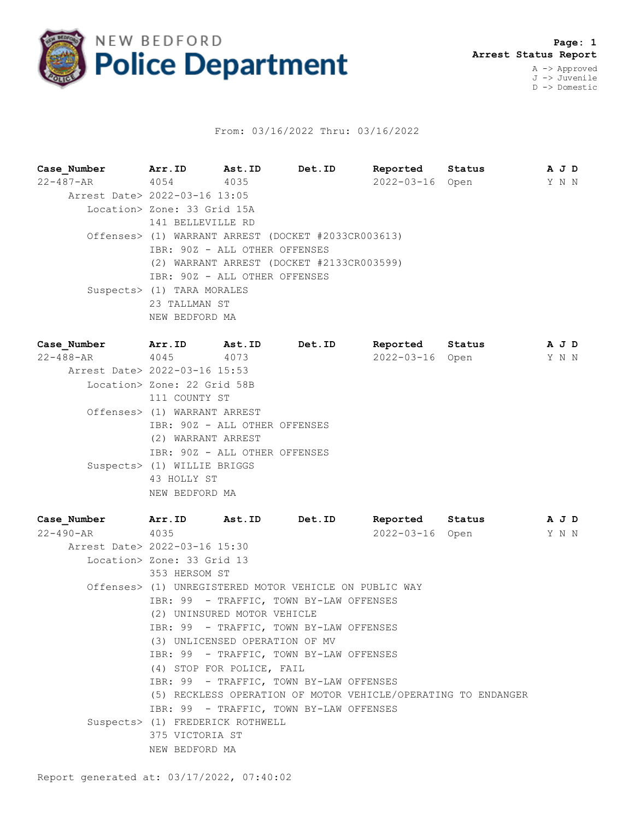

## From: 03/16/2022 Thru: 03/16/2022

**Case\_Number Arr.ID Ast.ID Det.ID Reported Status A J D** 22-487-AR 4054 4035 2022-03-16 Open Y N N Arrest Date> 2022-03-16 13:05 Location> Zone: 33 Grid 15A 141 BELLEVILLE RD Offenses> (1) WARRANT ARREST (DOCKET #2033CR003613) IBR: 90Z - ALL OTHER OFFENSES (2) WARRANT ARREST (DOCKET #2133CR003599) IBR: 90Z - ALL OTHER OFFENSES Suspects> (1) TARA MORALES 23 TALLMAN ST NEW BEDFORD MA

**Case\_Number Arr.ID Ast.ID Det.ID Reported Status A J D** 22-488-AR 4045 4073 2022-03-16 Open Y N N Arrest Date> 2022-03-16 15:53 Location> Zone: 22 Grid 58B 111 COUNTY ST Offenses> (1) WARRANT ARREST IBR: 90Z - ALL OTHER OFFENSES (2) WARRANT ARREST IBR: 90Z - ALL OTHER OFFENSES Suspects> (1) WILLIE BRIGGS 43 HOLLY ST NEW BEDFORD MA

**Case\_Number Arr.ID Ast.ID Det.ID Reported Status A J D** 22-490-AR 4035 2022-03-16 Open Y N N Arrest Date> 2022-03-16 15:30 Location> Zone: 33 Grid 13 353 HERSOM ST Offenses> (1) UNREGISTERED MOTOR VEHICLE ON PUBLIC WAY IBR: 99 - TRAFFIC, TOWN BY-LAW OFFENSES (2) UNINSURED MOTOR VEHICLE IBR: 99 - TRAFFIC, TOWN BY-LAW OFFENSES (3) UNLICENSED OPERATION OF MV IBR: 99 - TRAFFIC, TOWN BY-LAW OFFENSES (4) STOP FOR POLICE, FAIL IBR: 99 - TRAFFIC, TOWN BY-LAW OFFENSES (5) RECKLESS OPERATION OF MOTOR VEHICLE/OPERATING TO ENDANGER IBR: 99 - TRAFFIC, TOWN BY-LAW OFFENSES Suspects> (1) FREDERICK ROTHWELL 375 VICTORIA ST NEW BEDFORD MA